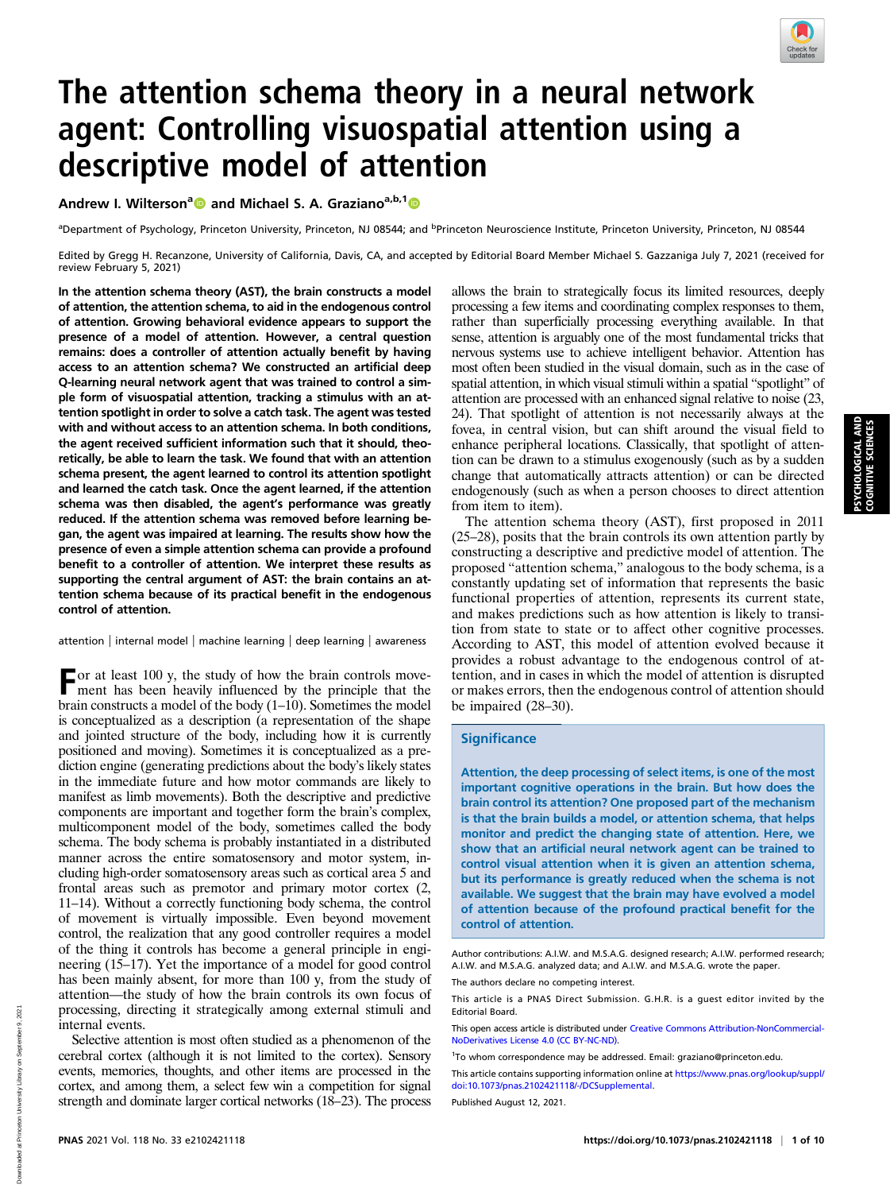

# The attention schema theory in a neural network agent: Controlling visuospatial attention using a descriptive model of attention

Andrew I. Wilterson<sup>a</sup> and Michael S. A. Graziano<sup>a,b,1</sup>

<sup>a</sup>Department of Psychology, Princeton University, Princeton, NJ 08544; and <sup>b</sup>Princeton Neuroscience Institute, Princeton University, Princeton, NJ 08544

Edited by Gregg H. Recanzone, University of California, Davis, CA, and accepted by Editorial Board Member Michael S. Gazzaniga July 7, 2021 (received for review February 5, 2021)

In the attention schema theory (AST), the brain constructs a model of attention, the attention schema, to aid in the endogenous control of attention. Growing behavioral evidence appears to support the presence of a model of attention. However, a central question remains: does a controller of attention actually benefit by having access to an attention schema? We constructed an artificial deep Q-learning neural network agent that was trained to control a simple form of visuospatial attention, tracking a stimulus with an attention spotlight in order to solve a catch task. The agent was tested with and without access to an attention schema. In both conditions, the agent received sufficient information such that it should, theoretically, be able to learn the task. We found that with an attention schema present, the agent learned to control its attention spotlight and learned the catch task. Once the agent learned, if the attention schema was then disabled, the agent's performance was greatly reduced. If the attention schema was removed before learning began, the agent was impaired at learning. The results show how the presence of even a simple attention schema can provide a profound benefit to a controller of attention. We interpret these results as supporting the central argument of AST: the brain contains an attention schema because of its practical benefit in the endogenous control of attention.

attention | internal model | machine learning | deep learning | awareness

For at least 100 y, the study of how the brain controls move-ment has been heavily influenced by the principle that the brain constructs a model of the body (1–10). Sometimes the model is conceptualized as a description (a representation of the shape and jointed structure of the body, including how it is currently positioned and moving). Sometimes it is conceptualized as a prediction engine (generating predictions about the body's likely states in the immediate future and how motor commands are likely to manifest as limb movements). Both the descriptive and predictive components are important and together form the brain's complex, multicomponent model of the body, sometimes called the body schema. The body schema is probably instantiated in a distributed manner across the entire somatosensory and motor system, including high-order somatosensory areas such as cortical area 5 and frontal areas such as premotor and primary motor cortex (2, 11–14). Without a correctly functioning body schema, the control of movement is virtually impossible. Even beyond movement control, the realization that any good controller requires a model of the thing it controls has become a general principle in engineering (15–17). Yet the importance of a model for good control has been mainly absent, for more than 100 y, from the study of attention—the study of how the brain controls its own focus of processing, directing it strategically among external stimuli and internal events.

Selective attention is most often studied as a phenomenon of the cerebral cortex (although it is not limited to the cortex). Sensory events, memories, thoughts, and other items are processed in the cortex, and among them, a select few win a competition for signal strength and dominate larger cortical networks (18–23). The process allows the brain to strategically focus its limited resources, deeply processing a few items and coordinating complex responses to them, rather than superficially processing everything available. In that sense, attention is arguably one of the most fundamental tricks that nervous systems use to achieve intelligent behavior. Attention has most often been studied in the visual domain, such as in the case of spatial attention, in which visual stimuli within a spatial "spotlight" of attention are processed with an enhanced signal relative to noise (23, 24). That spotlight of attention is not necessarily always at the fovea, in central vision, but can shift around the visual field to enhance peripheral locations. Classically, that spotlight of attention can be drawn to a stimulus exogenously (such as by a sudden change that automatically attracts attention) or can be directed endogenously (such as when a person chooses to direct attention from item to item).

The attention schema theory (AST), first proposed in 2011 (25–28), posits that the brain controls its own attention partly by constructing a descriptive and predictive model of attention. The proposed "attention schema," analogous to the body schema, is a constantly updating set of information that represents the basic functional properties of attention, represents its current state, and makes predictions such as how attention is likely to transition from state to state or to affect other cognitive processes. According to AST, this model of attention evolved because it provides a robust advantage to the endogenous control of attention, and in cases in which the model of attention is disrupted or makes errors, then the endogenous control of attention should be impaired (28–30).

### **Significance**

Attention, the deep processing of select items, is one of the most important cognitive operations in the brain. But how does the brain control its attention? One proposed part of the mechanism is that the brain builds a model, or attention schema, that helps monitor and predict the changing state of attention. Here, we show that an artificial neural network agent can be trained to control visual attention when it is given an attention schema, but its performance is greatly reduced when the schema is not available. We suggest that the brain may have evolved a model of attention because of the profound practical benefit for the control of attention.

Author contributions: A.I.W. and M.S.A.G. designed research; A.I.W. performed research; A.I.W. and M.S.A.G. analyzed data; and A.I.W. and M.S.A.G. wrote the paper.

The authors declare no competing interest.

This article is a PNAS Direct Submission. G.H.R. is a guest editor invited by the Editorial Board.

This open access article is distributed under [Creative Commons Attribution-NonCommercial-](https://creativecommons.org/licenses/by-nc-nd/4.0/)[NoDerivatives License 4.0 \(CC BY-NC-ND\).](https://creativecommons.org/licenses/by-nc-nd/4.0/)

1 To whom correspondence may be addressed. Email: [graziano@princeton.edu](mailto:graziano@princeton.edu).

Published August 12, 2021.

This article contains supporting information online at [https://www.pnas.org/lookup/suppl/](https://www.pnas.org/lookup/suppl/doi:10.1073/pnas.2102421118/-/DCSupplemental) [doi:10.1073/pnas.2102421118/-/DCSupplemental.](https://www.pnas.org/lookup/suppl/doi:10.1073/pnas.2102421118/-/DCSupplemental)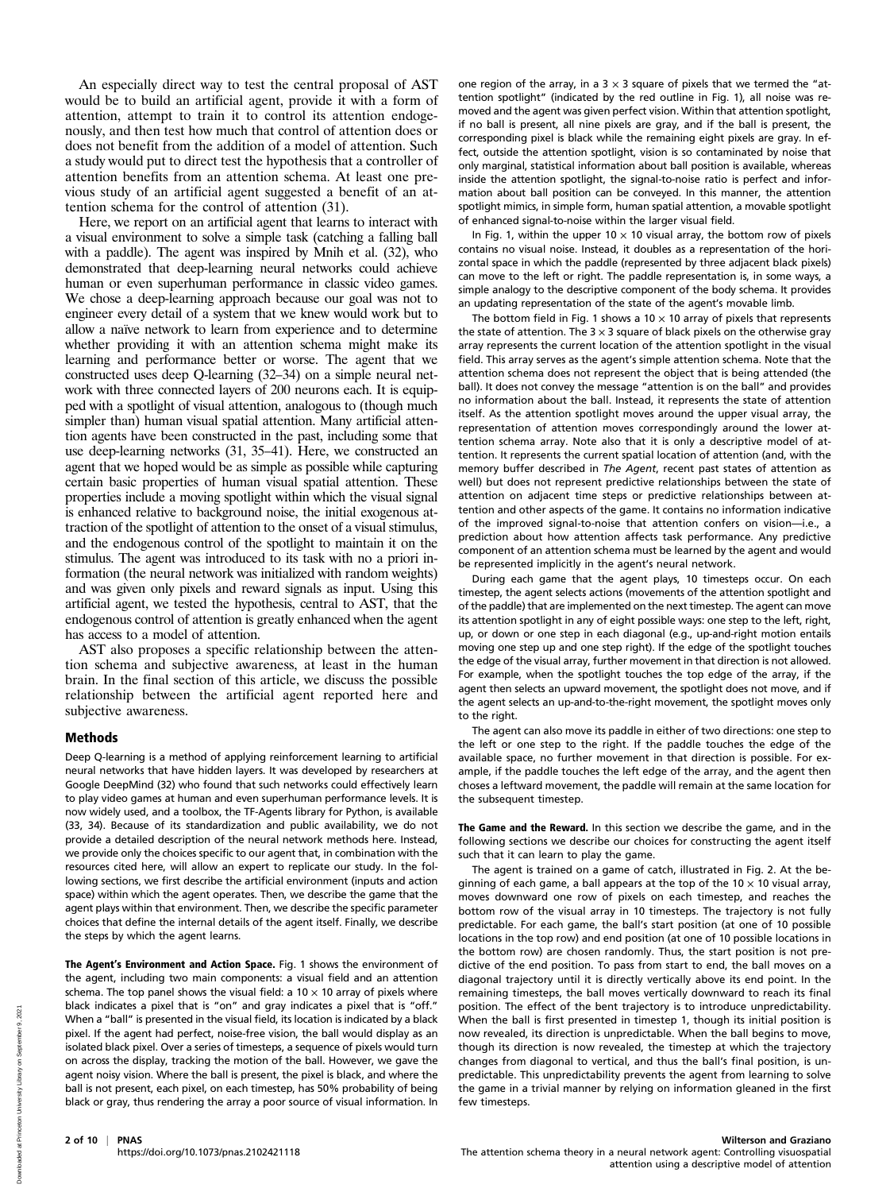An especially direct way to test the central proposal of AST would be to build an artificial agent, provide it with a form of attention, attempt to train it to control its attention endogenously, and then test how much that control of attention does or does not benefit from the addition of a model of attention. Such a study would put to direct test the hypothesis that a controller of attention benefits from an attention schema. At least one previous study of an artificial agent suggested a benefit of an attention schema for the control of attention (31).

Here, we report on an artificial agent that learns to interact with a visual environment to solve a simple task (catching a falling ball with a paddle). The agent was inspired by Mnih et al. (32), who demonstrated that deep-learning neural networks could achieve human or even superhuman performance in classic video games. We chose a deep-learning approach because our goal was not to engineer every detail of a system that we knew would work but to allow a naïve network to learn from experience and to determine whether providing it with an attention schema might make its learning and performance better or worse. The agent that we constructed uses deep Q-learning (32–34) on a simple neural network with three connected layers of 200 neurons each. It is equipped with a spotlight of visual attention, analogous to (though much simpler than) human visual spatial attention. Many artificial attention agents have been constructed in the past, including some that use deep-learning networks (31, 35–41). Here, we constructed an agent that we hoped would be as simple as possible while capturing certain basic properties of human visual spatial attention. These properties include a moving spotlight within which the visual signal is enhanced relative to background noise, the initial exogenous attraction of the spotlight of attention to the onset of a visual stimulus, and the endogenous control of the spotlight to maintain it on the stimulus. The agent was introduced to its task with no a priori information (the neural network was initialized with random weights) and was given only pixels and reward signals as input. Using this artificial agent, we tested the hypothesis, central to AST, that the endogenous control of attention is greatly enhanced when the agent has access to a model of attention.

AST also proposes a specific relationship between the attention schema and subjective awareness, at least in the human brain. In the final section of this article, we discuss the possible relationship between the artificial agent reported here and subjective awareness.

### Methods

Deep Q-learning is a method of applying reinforcement learning to artificial neural networks that have hidden layers. It was developed by researchers at Google DeepMind (32) who found that such networks could effectively learn to play video games at human and even superhuman performance levels. It is now widely used, and a toolbox, the TF-Agents library for Python, is available (33, 34). Because of its standardization and public availability, we do not provide a detailed description of the neural network methods here. Instead, we provide only the choices specific to our agent that, in combination with the resources cited here, will allow an expert to replicate our study. In the following sections, we first describe the artificial environment (inputs and action space) within which the agent operates. Then, we describe the game that the agent plays within that environment. Then, we describe the specific parameter choices that define the internal details of the agent itself. Finally, we describe the steps by which the agent learns.

The Agent's Environment and Action Space. Fig. 1 shows the environment of the agent, including two main components: a visual field and an attention schema. The top panel shows the visual field: a  $10 \times 10$  array of pixels where black indicates a pixel that is "on" and gray indicates a pixel that is "off." When a "ball" is presented in the visual field, its location is indicated by a black pixel. If the agent had perfect, noise-free vision, the ball would display as an isolated black pixel. Over a series of timesteps, a sequence of pixels would turn on across the display, tracking the motion of the ball. However, we gave the agent noisy vision. Where the ball is present, the pixel is black, and where the ball is not present, each pixel, on each timestep, has 50% probability of being black or gray, thus rendering the array a poor source of visual information. In

one region of the array, in a  $3 \times 3$  square of pixels that we termed the "attention spotlight" (indicated by the red outline in Fig. 1), all noise was removed and the agent was given perfect vision. Within that attention spotlight, if no ball is present, all nine pixels are gray, and if the ball is present, the corresponding pixel is black while the remaining eight pixels are gray. In effect, outside the attention spotlight, vision is so contaminated by noise that only marginal, statistical information about ball position is available, whereas inside the attention spotlight, the signal-to-noise ratio is perfect and information about ball position can be conveyed. In this manner, the attention spotlight mimics, in simple form, human spatial attention, a movable spotlight of enhanced signal-to-noise within the larger visual field.

In Fig. 1, within the upper 10  $\times$  10 visual array, the bottom row of pixels contains no visual noise. Instead, it doubles as a representation of the horizontal space in which the paddle (represented by three adjacent black pixels) can move to the left or right. The paddle representation is, in some ways, a simple analogy to the descriptive component of the body schema. It provides an updating representation of the state of the agent's movable limb.

The bottom field in Fig. 1 shows a 10  $\times$  10 array of pixels that represents the state of attention. The  $3 \times 3$  square of black pixels on the otherwise gray array represents the current location of the attention spotlight in the visual field. This array serves as the agent's simple attention schema. Note that the attention schema does not represent the object that is being attended (the ball). It does not convey the message "attention is on the ball" and provides no information about the ball. Instead, it represents the state of attention itself. As the attention spotlight moves around the upper visual array, the representation of attention moves correspondingly around the lower attention schema array. Note also that it is only a descriptive model of attention. It represents the current spatial location of attention (and, with the memory buffer described in The Agent, recent past states of attention as well) but does not represent predictive relationships between the state of attention on adjacent time steps or predictive relationships between attention and other aspects of the game. It contains no information indicative of the improved signal-to-noise that attention confers on vision—i.e., a prediction about how attention affects task performance. Any predictive component of an attention schema must be learned by the agent and would be represented implicitly in the agent's neural network.

During each game that the agent plays, 10 timesteps occur. On each timestep, the agent selects actions (movements of the attention spotlight and of the paddle) that are implemented on the next timestep. The agent can move its attention spotlight in any of eight possible ways: one step to the left, right, up, or down or one step in each diagonal (e.g., up-and-right motion entails moving one step up and one step right). If the edge of the spotlight touches the edge of the visual array, further movement in that direction is not allowed. For example, when the spotlight touches the top edge of the array, if the agent then selects an upward movement, the spotlight does not move, and if the agent selects an up-and-to-the-right movement, the spotlight moves only to the right.

The agent can also move its paddle in either of two directions: one step to the left or one step to the right. If the paddle touches the edge of the available space, no further movement in that direction is possible. For example, if the paddle touches the left edge of the array, and the agent then choses a leftward movement, the paddle will remain at the same location for the subsequent timestep.

The Game and the Reward. In this section we describe the game, and in the following sections we describe our choices for constructing the agent itself such that it can learn to play the game.

The agent is trained on a game of catch, illustrated in Fig. 2. At the beginning of each game, a ball appears at the top of the  $10 \times 10$  visual array. moves downward one row of pixels on each timestep, and reaches the bottom row of the visual array in 10 timesteps. The trajectory is not fully predictable. For each game, the ball's start position (at one of 10 possible locations in the top row) and end position (at one of 10 possible locations in the bottom row) are chosen randomly. Thus, the start position is not predictive of the end position. To pass from start to end, the ball moves on a diagonal trajectory until it is directly vertically above its end point. In the remaining timesteps, the ball moves vertically downward to reach its final position. The effect of the bent trajectory is to introduce unpredictability. When the ball is first presented in timestep 1, though its initial position is now revealed, its direction is unpredictable. When the ball begins to move, though its direction is now revealed, the timestep at which the trajectory changes from diagonal to vertical, and thus the ball's final position, is unpredictable. This unpredictability prevents the agent from learning to solve the game in a trivial manner by relying on information gleaned in the first few timesteps.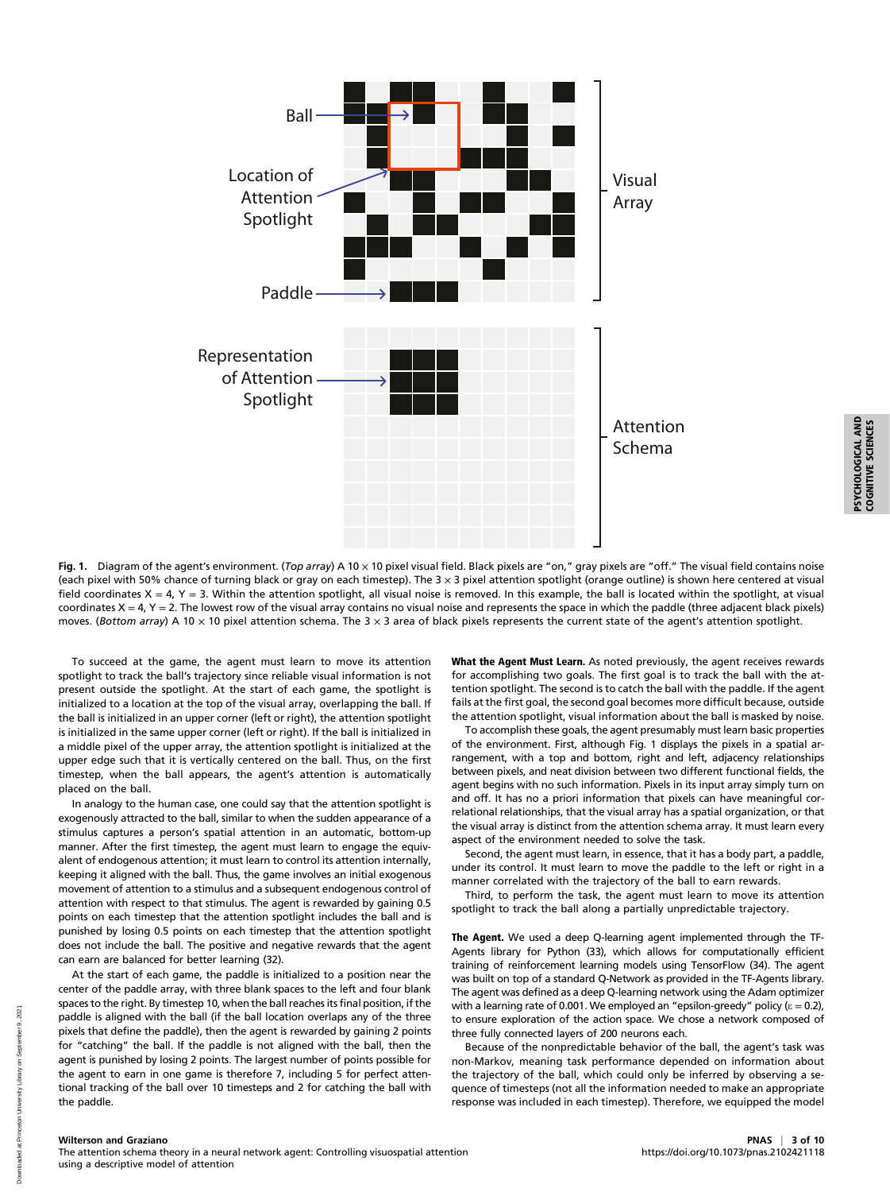

PSYCHOLOGICAL AND<br>COGNITIVE SCIENCES PSYCHOLOGICAL AND

COGNITIVE SCIENCES

Fig. 1. Diagram of the agent's environment. (Top array) A 10 x 10 pixel visual field. Black pixels are "on," gray pixels are "off." The visual field contains noise (each pixel with 50% chance of turning black or gray on each timestep). The 3 × 3 pixel attention spotlight (orange outline) is shown here centered at visual field coordinates  $X = 4$ ,  $Y = 3$ . Within the attention spotlight, all visual noise is removed. In this example, the ball is located within the spotlight, at visual coordinates  $X = 4$ ,  $Y = 2$ . The lowest row of the visual array contains no visual noise and represents the space in which the paddle (three adjacent black pixels) moves. (Bottom array) A 10  $\times$  10 pixel attention schema. The 3  $\times$  3 area of black pixels represents the current state of the agent's attention spotlight.

To succeed at the game, the agent must learn to move its attention spotlight to track the ball's trajectory since reliable visual information is not present outside the spotlight. At the start of each game, the spotlight is initialized to a location at the top of the visual array, overlapping the ball. If the ball is initialized in an upper corner (left or right), the attention spotlight is initialized in the same upper corner (left or right). If the ball is initialized in a middle pixel of the upper array, the attention spotlight is initialized at the upper edge such that it is vertically centered on the ball. Thus, on the first timestep, when the ball appears, the agent's attention is automatically placed on the ball.

In analogy to the human case, one could say that the attention spotlight is exogenously attracted to the ball, similar to when the sudden appearance of a stimulus captures a person's spatial attention in an automatic, bottom-up manner. After the first timestep, the agent must learn to engage the equivalent of endogenous attention; it must learn to control its attention internally, keeping it aligned with the ball. Thus, the game involves an initial exogenous movement of attention to a stimulus and a subsequent endogenous control of attention with respect to that stimulus. The agent is rewarded by gaining 0.5 points on each timestep that the attention spotlight includes the ball and is punished by losing 0.5 points on each timestep that the attention spotlight does not include the ball. The positive and negative rewards that the agent can earn are balanced for better learning (32).

At the start of each game, the paddle is initialized to a position near the center of the paddle array, with three blank spaces to the left and four blank spaces to the right. By timestep 10, when the ball reaches its final position, if the paddle is aligned with the ball (if the ball location overlaps any of the three pixels that define the paddle), then the agent is rewarded by gaining 2 points for "catching" the ball. If the paddle is not aligned with the ball, then the agent is punished by losing 2 points. The largest number of points possible for the agent to earn in one game is therefore 7, including 5 for perfect attentional tracking of the ball over 10 timesteps and 2 for catching the ball with the paddle.

What the Agent Must Learn. As noted previously, the agent receives rewards for accomplishing two goals. The first goal is to track the ball with the attention spotlight. The second is to catch the ball with the paddle. If the agent fails at the first goal, the second goal becomes more difficult because, outside the attention spotlight, visual information about the ball is masked by noise.

To accomplish these goals, the agent presumably must learn basic properties of the environment. First, although Fig. 1 displays the pixels in a spatial arrangement, with a top and bottom, right and left, adjacency relationships between pixels, and neat division between two different functional fields, the agent begins with no such information. Pixels in its input array simply turn on and off. It has no a priori information that pixels can have meaningful correlational relationships, that the visual array has a spatial organization, or that the visual array is distinct from the attention schema array. It must learn every aspect of the environment needed to solve the task.

Second, the agent must learn, in essence, that it has a body part, a paddle, under its control. It must learn to move the paddle to the left or right in a manner correlated with the trajectory of the ball to earn rewards.

Third, to perform the task, the agent must learn to move its attention spotlight to track the ball along a partially unpredictable trajectory.

The Agent. We used a deep Q-learning agent implemented through the TF-Agents library for Python (33), which allows for computationally efficient training of reinforcement learning models using TensorFlow (34). The agent was built on top of a standard Q-Network as provided in the TF-Agents library. The agent was defined as a deep Q-learning network using the Adam optimizer with a learning rate of 0.001. We employed an "epsilon-greedy" policy ( $\varepsilon = 0.2$ ), to ensure exploration of the action space. We chose a network composed of three fully connected layers of 200 neurons each.

Because of the nonpredictable behavior of the ball, the agent's task was non-Markov, meaning task performance depended on information about the trajectory of the ball, which could only be inferred by observing a sequence of timesteps (not all the information needed to make an appropriate response was included in each timestep). Therefore, we equipped the model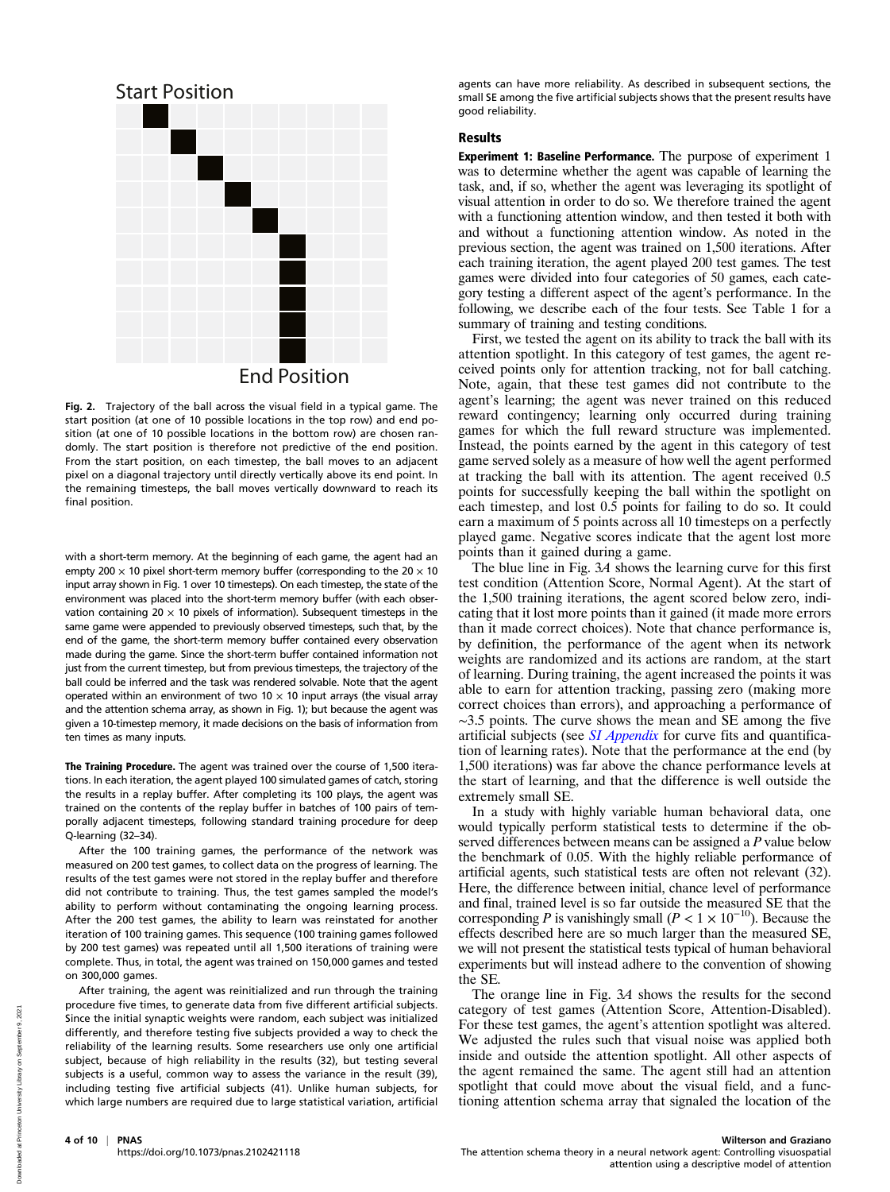

Fig. 2. Trajectory of the ball across the visual field in a typical game. The start position (at one of 10 possible locations in the top row) and end position (at one of 10 possible locations in the bottom row) are chosen randomly. The start position is therefore not predictive of the end position. From the start position, on each timestep, the ball moves to an adjacent pixel on a diagonal trajectory until directly vertically above its end point. In the remaining timesteps, the ball moves vertically downward to reach its final position.

with a short-term memory. At the beginning of each game, the agent had an empty 200  $\times$  10 pixel short-term memory buffer (corresponding to the 20  $\times$  10 input array shown in Fig. 1 over 10 timesteps). On each timestep, the state of the environment was placed into the short-term memory buffer (with each observation containing 20  $\times$  10 pixels of information). Subsequent timesteps in the same game were appended to previously observed timesteps, such that, by the end of the game, the short-term memory buffer contained every observation made during the game. Since the short-term buffer contained information not just from the current timestep, but from previous timesteps, the trajectory of the ball could be inferred and the task was rendered solvable. Note that the agent operated within an environment of two 10  $\times$  10 input arrays (the visual array and the attention schema array, as shown in Fig. 1); but because the agent was given a 10-timestep memory, it made decisions on the basis of information from ten times as many inputs.

The Training Procedure. The agent was trained over the course of 1,500 iterations. In each iteration, the agent played 100 simulated games of catch, storing the results in a replay buffer. After completing its 100 plays, the agent was trained on the contents of the replay buffer in batches of 100 pairs of temporally adjacent timesteps, following standard training procedure for deep Q-learning (32–34).

After the 100 training games, the performance of the network was measured on 200 test games, to collect data on the progress of learning. The results of the test games were not stored in the replay buffer and therefore did not contribute to training. Thus, the test games sampled the model's ability to perform without contaminating the ongoing learning process. After the 200 test games, the ability to learn was reinstated for another iteration of 100 training games. This sequence (100 training games followed by 200 test games) was repeated until all 1,500 iterations of training were complete. Thus, in total, the agent was trained on 150,000 games and tested on 300,000 games.

After training, the agent was reinitialized and run through the training procedure five times, to generate data from five different artificial subjects. Since the initial synaptic weights were random, each subject was initialized differently, and therefore testing five subjects provided a way to check the reliability of the learning results. Some researchers use only one artificial subject, because of high reliability in the results (32), but testing several subjects is a useful, common way to assess the variance in the result (39), including testing five artificial subjects (41). Unlike human subjects, for which large numbers are required due to large statistical variation, artificial

agents can have more reliability. As described in subsequent sections, the small SE among the five artificial subjects shows that the present results have good reliability.

## Results

Experiment 1: Baseline Performance. The purpose of experiment 1 was to determine whether the agent was capable of learning the task, and, if so, whether the agent was leveraging its spotlight of visual attention in order to do so. We therefore trained the agent with a functioning attention window, and then tested it both with and without a functioning attention window. As noted in the previous section, the agent was trained on 1,500 iterations. After each training iteration, the agent played 200 test games. The test games were divided into four categories of 50 games, each category testing a different aspect of the agent's performance. In the following, we describe each of the four tests. See Table 1 for a summary of training and testing conditions.

First, we tested the agent on its ability to track the ball with its attention spotlight. In this category of test games, the agent received points only for attention tracking, not for ball catching. Note, again, that these test games did not contribute to the agent's learning; the agent was never trained on this reduced reward contingency; learning only occurred during training games for which the full reward structure was implemented. Instead, the points earned by the agent in this category of test game served solely as a measure of how well the agent performed at tracking the ball with its attention. The agent received 0.5 points for successfully keeping the ball within the spotlight on each timestep, and lost 0.5 points for failing to do so. It could earn a maximum of 5 points across all 10 timesteps on a perfectly played game. Negative scores indicate that the agent lost more points than it gained during a game.

The blue line in Fig. 3A shows the learning curve for this first test condition (Attention Score, Normal Agent). At the start of the 1,500 training iterations, the agent scored below zero, indicating that it lost more points than it gained (it made more errors than it made correct choices). Note that chance performance is, by definition, the performance of the agent when its network weights are randomized and its actions are random, at the start of learning. During training, the agent increased the points it was able to earn for attention tracking, passing zero (making more correct choices than errors), and approaching a performance of ∼3.5 points. The curve shows the mean and SE among the five artificial subjects (see [SI Appendix](https://www.pnas.org/lookup/suppl/doi:10.1073/pnas.2102421118/-/DCSupplemental) for curve fits and quantification of learning rates). Note that the performance at the end (by 1,500 iterations) was far above the chance performance levels at the start of learning, and that the difference is well outside the extremely small SE.

In a study with highly variable human behavioral data, one would typically perform statistical tests to determine if the observed differences between means can be assigned a P value below the benchmark of 0.05. With the highly reliable performance of artificial agents, such statistical tests are often not relevant (32). Here, the difference between initial, chance level of performance and final, trained level is so far outside the measured SE that the corresponding P is vanishingly small ( $P < 1 \times 10^{-10}$ ). Because the effects described here are so much larger than the measured SE, we will not present the statistical tests typical of human behavioral experiments but will instead adhere to the convention of showing the SE.

The orange line in Fig. 3A shows the results for the second category of test games (Attention Score, Attention-Disabled). For these test games, the agent's attention spotlight was altered. We adjusted the rules such that visual noise was applied both inside and outside the attention spotlight. All other aspects of the agent remained the same. The agent still had an attention spotlight that could move about the visual field, and a functioning attention schema array that signaled the location of the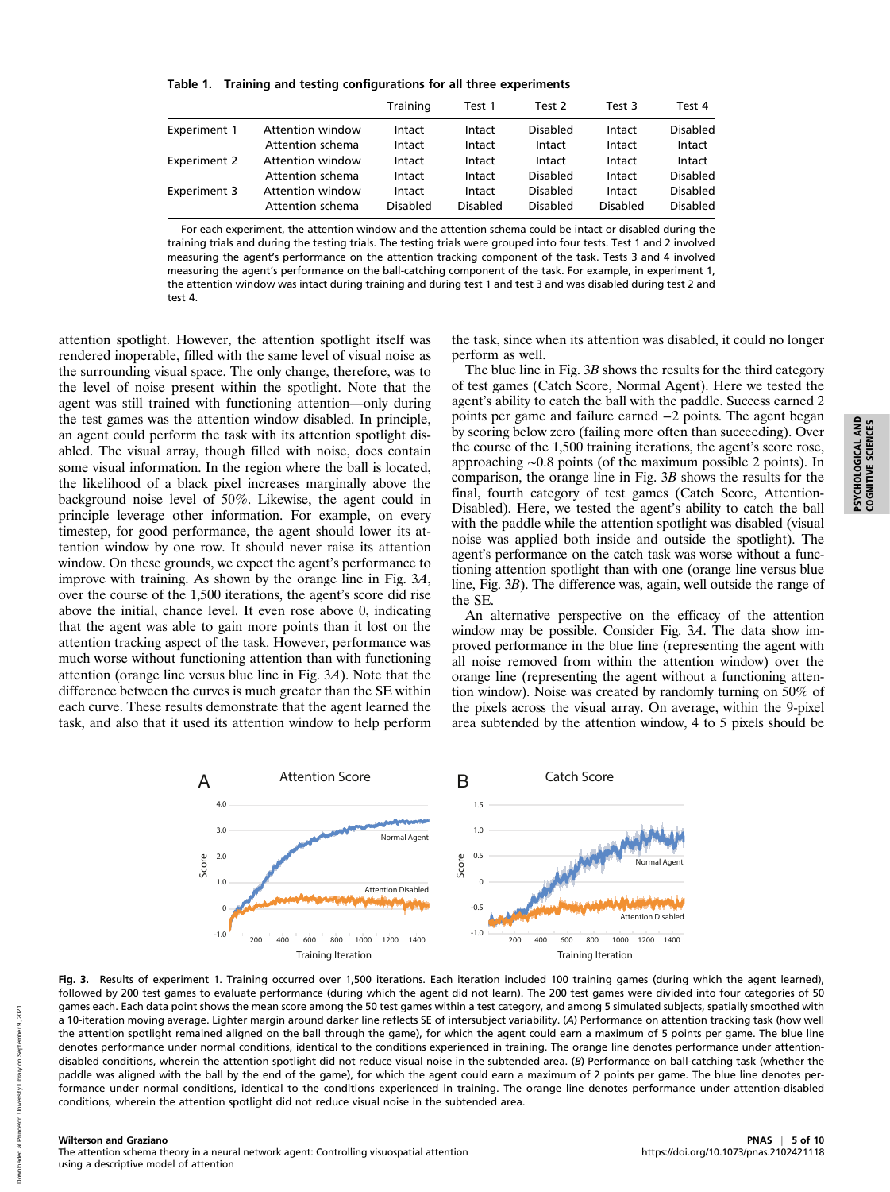Table 1. Training and testing configurations for all three experiments

|                     |                  | Training | Test 1   | Test 2          | Test 3   | Test 4          |
|---------------------|------------------|----------|----------|-----------------|----------|-----------------|
| <b>Experiment 1</b> | Attention window | Intact   | Intact   | <b>Disabled</b> | Intact   | <b>Disabled</b> |
|                     | Attention schema | Intact   | Intact   | Intact          | Intact   | Intact          |
| <b>Experiment 2</b> | Attention window | Intact   | Intact   | Intact          | Intact   | Intact          |
|                     | Attention schema | Intact   | Intact   | Disabled        | Intact   | <b>Disabled</b> |
| Experiment 3        | Attention window | Intact   | Intact   | Disabled        | Intact   | <b>Disabled</b> |
|                     | Attention schema | Disabled | Disabled | Disabled        | Disabled | <b>Disabled</b> |

For each experiment, the attention window and the attention schema could be intact or disabled during the training trials and during the testing trials. The testing trials were grouped into four tests. Test 1 and 2 involved measuring the agent's performance on the attention tracking component of the task. Tests 3 and 4 involved measuring the agent's performance on the ball-catching component of the task. For example, in experiment 1, the attention window was intact during training and during test 1 and test 3 and was disabled during test 2 and test 4.

attention spotlight. However, the attention spotlight itself was rendered inoperable, filled with the same level of visual noise as the surrounding visual space. The only change, therefore, was to the level of noise present within the spotlight. Note that the agent was still trained with functioning attention—only during the test games was the attention window disabled. In principle, an agent could perform the task with its attention spotlight disabled. The visual array, though filled with noise, does contain some visual information. In the region where the ball is located, the likelihood of a black pixel increases marginally above the background noise level of 50%. Likewise, the agent could in principle leverage other information. For example, on every timestep, for good performance, the agent should lower its attention window by one row. It should never raise its attention window. On these grounds, we expect the agent's performance to improve with training. As shown by the orange line in Fig. 3A, over the course of the 1,500 iterations, the agent's score did rise above the initial, chance level. It even rose above 0, indicating that the agent was able to gain more points than it lost on the attention tracking aspect of the task. However, performance was much worse without functioning attention than with functioning attention (orange line versus blue line in Fig. 3A). Note that the difference between the curves is much greater than the SE within each curve. These results demonstrate that the agent learned the task, and also that it used its attention window to help perform

the task, since when its attention was disabled, it could no longer perform as well.

The blue line in Fig. 3B shows the results for the third category of test games (Catch Score, Normal Agent). Here we tested the agent's ability to catch the ball with the paddle. Success earned 2 points per game and failure earned −2 points. The agent began by scoring below zero (failing more often than succeeding). Over the course of the 1,500 training iterations, the agent's score rose, approaching ∼0.8 points (of the maximum possible 2 points). In comparison, the orange line in Fig. 3B shows the results for the final, fourth category of test games (Catch Score, Attention-Disabled). Here, we tested the agent's ability to catch the ball with the paddle while the attention spotlight was disabled (visual noise was applied both inside and outside the spotlight). The agent's performance on the catch task was worse without a functioning attention spotlight than with one (orange line versus blue line, Fig. 3B). The difference was, again, well outside the range of the SE.

An alternative perspective on the efficacy of the attention window may be possible. Consider Fig. 3A. The data show improved performance in the blue line (representing the agent with all noise removed from within the attention window) over the orange line (representing the agent without a functioning attention window). Noise was created by randomly turning on 50% of the pixels across the visual array. On average, within the 9-pixel area subtended by the attention window, 4 to 5 pixels should be



Fig. 3. Results of experiment 1. Training occurred over 1,500 iterations. Each iteration included 100 training games (during which the agent learned), followed by 200 test games to evaluate performance (during which the agent did not learn). The 200 test games were divided into four categories of 50 games each. Each data point shows the mean score among the 50 test games within a test category, and among 5 simulated subjects, spatially smoothed with a 10-iteration moving average. Lighter margin around darker line reflects SE of intersubject variability. (A) Performance on attention tracking task (how well the attention spotlight remained aligned on the ball through the game), for which the agent could earn a maximum of 5 points per game. The blue line denotes performance under normal conditions, identical to the conditions experienced in training. The orange line denotes performance under attentiondisabled conditions, wherein the attention spotlight did not reduce visual noise in the subtended area. (B) Performance on ball-catching task (whether the paddle was aligned with the ball by the end of the game), for which the agent could earn a maximum of 2 points per game. The blue line denotes performance under normal conditions, identical to the conditions experienced in training. The orange line denotes performance under attention-disabled conditions, wherein the attention spotlight did not reduce visual noise in the subtended area.

The attention schema theory in a neural network agent: Controlling visuospatial attention using a descriptive model of attention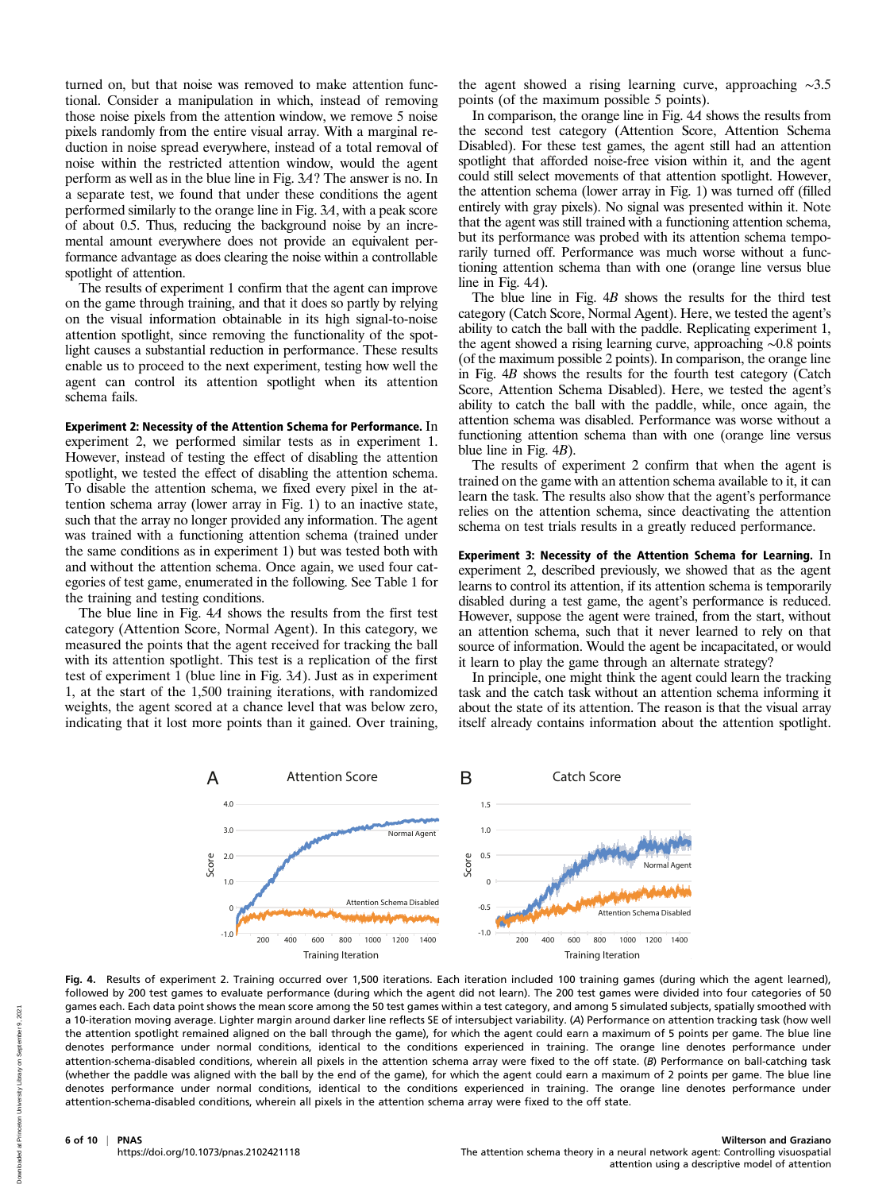turned on, but that noise was removed to make attention functional. Consider a manipulation in which, instead of removing those noise pixels from the attention window, we remove 5 noise pixels randomly from the entire visual array. With a marginal reduction in noise spread everywhere, instead of a total removal of noise within the restricted attention window, would the agent perform as well as in the blue line in Fig. 3A? The answer is no. In a separate test, we found that under these conditions the agent performed similarly to the orange line in Fig. 3A, with a peak score of about 0.5. Thus, reducing the background noise by an incremental amount everywhere does not provide an equivalent performance advantage as does clearing the noise within a controllable spotlight of attention.

The results of experiment 1 confirm that the agent can improve on the game through training, and that it does so partly by relying on the visual information obtainable in its high signal-to-noise attention spotlight, since removing the functionality of the spotlight causes a substantial reduction in performance. These results enable us to proceed to the next experiment, testing how well the agent can control its attention spotlight when its attention schema fails.

Experiment 2: Necessity of the Attention Schema for Performance. In experiment 2, we performed similar tests as in experiment 1. However, instead of testing the effect of disabling the attention spotlight, we tested the effect of disabling the attention schema. To disable the attention schema, we fixed every pixel in the attention schema array (lower array in Fig. 1) to an inactive state, such that the array no longer provided any information. The agent was trained with a functioning attention schema (trained under the same conditions as in experiment 1) but was tested both with and without the attention schema. Once again, we used four categories of test game, enumerated in the following. See Table 1 for the training and testing conditions.

The blue line in Fig. 4A shows the results from the first test category (Attention Score, Normal Agent). In this category, we measured the points that the agent received for tracking the ball with its attention spotlight. This test is a replication of the first test of experiment 1 (blue line in Fig. 3A). Just as in experiment 1, at the start of the 1,500 training iterations, with randomized weights, the agent scored at a chance level that was below zero, indicating that it lost more points than it gained. Over training,

the agent showed a rising learning curve, approaching ∼3.5 points (of the maximum possible 5 points).

In comparison, the orange line in Fig. 4A shows the results from the second test category (Attention Score, Attention Schema Disabled). For these test games, the agent still had an attention spotlight that afforded noise-free vision within it, and the agent could still select movements of that attention spotlight. However, the attention schema (lower array in Fig. 1) was turned off (filled entirely with gray pixels). No signal was presented within it. Note that the agent was still trained with a functioning attention schema, but its performance was probed with its attention schema temporarily turned off. Performance was much worse without a functioning attention schema than with one (orange line versus blue line in Fig. 4A).

The blue line in Fig. 4B shows the results for the third test category (Catch Score, Normal Agent). Here, we tested the agent's ability to catch the ball with the paddle. Replicating experiment 1, the agent showed a rising learning curve, approaching ∼0.8 points (of the maximum possible 2 points). In comparison, the orange line in Fig. 4B shows the results for the fourth test category (Catch Score, Attention Schema Disabled). Here, we tested the agent's ability to catch the ball with the paddle, while, once again, the attention schema was disabled. Performance was worse without a functioning attention schema than with one (orange line versus blue line in Fig. 4B).

The results of experiment 2 confirm that when the agent is trained on the game with an attention schema available to it, it can learn the task. The results also show that the agent's performance relies on the attention schema, since deactivating the attention schema on test trials results in a greatly reduced performance.

Experiment 3: Necessity of the Attention Schema for Learning. In experiment 2, described previously, we showed that as the agent learns to control its attention, if its attention schema is temporarily disabled during a test game, the agent's performance is reduced. However, suppose the agent were trained, from the start, without an attention schema, such that it never learned to rely on that source of information. Would the agent be incapacitated, or would it learn to play the game through an alternate strategy?

In principle, one might think the agent could learn the tracking task and the catch task without an attention schema informing it about the state of its attention. The reason is that the visual array itself already contains information about the attention spotlight.



Fig. 4. Results of experiment 2. Training occurred over 1,500 iterations. Each iteration included 100 training games (during which the agent learned), followed by 200 test games to evaluate performance (during which the agent did not learn). The 200 test games were divided into four categories of 50 games each. Each data point shows the mean score among the 50 test games within a test category, and among 5 simulated subjects, spatially smoothed with a 10-iteration moving average. Lighter margin around darker line reflects SE of intersubject variability. (A) Performance on attention tracking task (how well the attention spotlight remained aligned on the ball through the game), for which the agent could earn a maximum of 5 points per game. The blue line denotes performance under normal conditions, identical to the conditions experienced in training. The orange line denotes performance under attention-schema-disabled conditions, wherein all pixels in the attention schema array were fixed to the off state. (B) Performance on ball-catching task (whether the paddle was aligned with the ball by the end of the game), for which the agent could earn a maximum of 2 points per game. The blue line denotes performance under normal conditions, identical to the conditions experienced in training. The orange line denotes performance under attention-schema-disabled conditions, wherein all pixels in the attention schema array were fixed to the off state.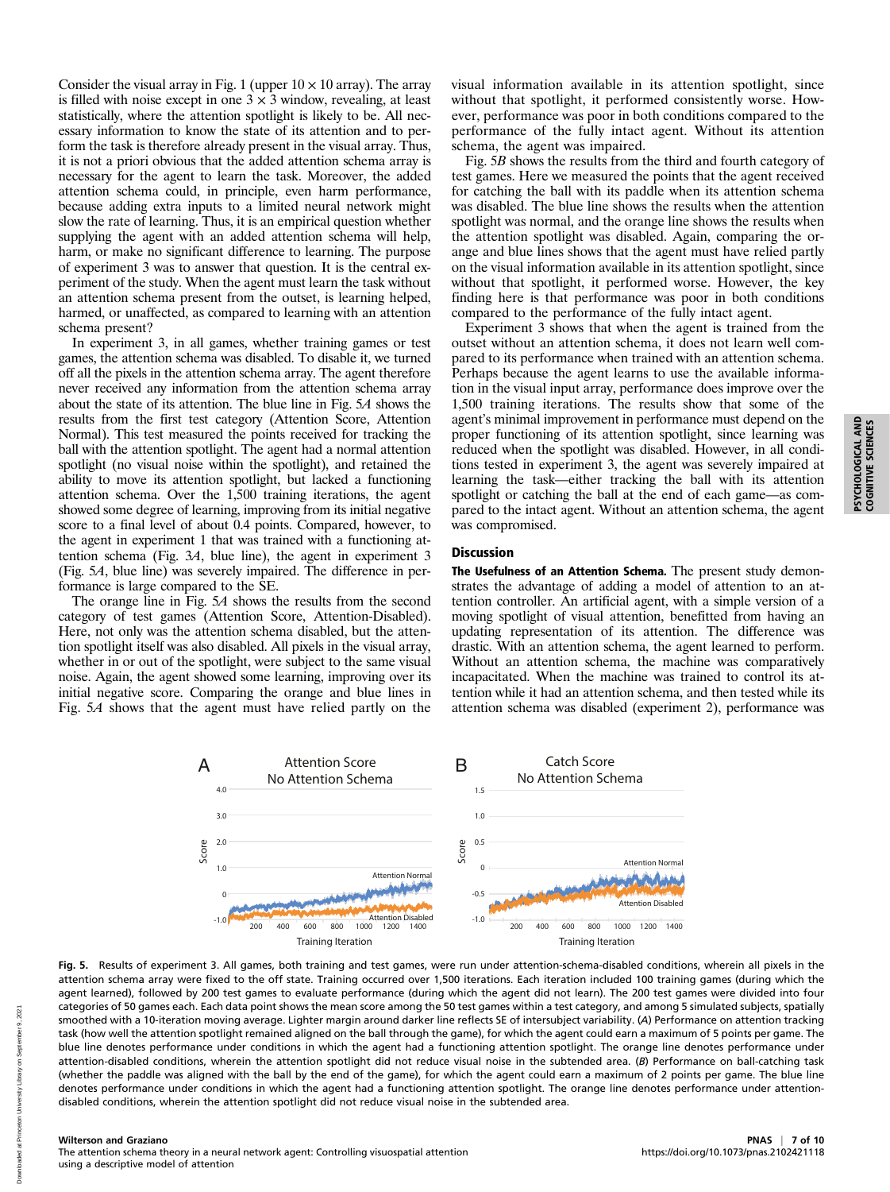Consider the visual array in Fig. 1 (upper  $10 \times 10$  array). The array is filled with noise except in one  $3 \times 3$  window, revealing, at least statistically, where the attention spotlight is likely to be. All necessary information to know the state of its attention and to perform the task is therefore already present in the visual array. Thus, it is not a priori obvious that the added attention schema array is necessary for the agent to learn the task. Moreover, the added attention schema could, in principle, even harm performance, because adding extra inputs to a limited neural network might slow the rate of learning. Thus, it is an empirical question whether supplying the agent with an added attention schema will help, harm, or make no significant difference to learning. The purpose of experiment 3 was to answer that question. It is the central experiment of the study. When the agent must learn the task without an attention schema present from the outset, is learning helped, harmed, or unaffected, as compared to learning with an attention schema present?

In experiment 3, in all games, whether training games or test games, the attention schema was disabled. To disable it, we turned off all the pixels in the attention schema array. The agent therefore never received any information from the attention schema array about the state of its attention. The blue line in Fig. 5A shows the results from the first test category (Attention Score, Attention Normal). This test measured the points received for tracking the ball with the attention spotlight. The agent had a normal attention spotlight (no visual noise within the spotlight), and retained the ability to move its attention spotlight, but lacked a functioning attention schema. Over the 1,500 training iterations, the agent showed some degree of learning, improving from its initial negative score to a final level of about 0.4 points. Compared, however, to the agent in experiment 1 that was trained with a functioning attention schema (Fig. 3A, blue line), the agent in experiment 3 (Fig. 5A, blue line) was severely impaired. The difference in performance is large compared to the SE.

The orange line in Fig. 5A shows the results from the second category of test games (Attention Score, Attention-Disabled). Here, not only was the attention schema disabled, but the attention spotlight itself was also disabled. All pixels in the visual array, whether in or out of the spotlight, were subject to the same visual noise. Again, the agent showed some learning, improving over its initial negative score. Comparing the orange and blue lines in Fig. 5A shows that the agent must have relied partly on the

visual information available in its attention spotlight, since without that spotlight, it performed consistently worse. However, performance was poor in both conditions compared to the performance of the fully intact agent. Without its attention schema, the agent was impaired.

Fig. 5B shows the results from the third and fourth category of test games. Here we measured the points that the agent received for catching the ball with its paddle when its attention schema was disabled. The blue line shows the results when the attention spotlight was normal, and the orange line shows the results when the attention spotlight was disabled. Again, comparing the orange and blue lines shows that the agent must have relied partly on the visual information available in its attention spotlight, since without that spotlight, it performed worse. However, the key finding here is that performance was poor in both conditions compared to the performance of the fully intact agent.

Experiment 3 shows that when the agent is trained from the outset without an attention schema, it does not learn well compared to its performance when trained with an attention schema. Perhaps because the agent learns to use the available information in the visual input array, performance does improve over the 1,500 training iterations. The results show that some of the agent's minimal improvement in performance must depend on the proper functioning of its attention spotlight, since learning was reduced when the spotlight was disabled. However, in all conditions tested in experiment 3, the agent was severely impaired at learning the task—either tracking the ball with its attention spotlight or catching the ball at the end of each game—as compared to the intact agent. Without an attention schema, the agent was compromised.

# Discussion

The Usefulness of an Attention Schema. The present study demonstrates the advantage of adding a model of attention to an attention controller. An artificial agent, with a simple version of a moving spotlight of visual attention, benefitted from having an updating representation of its attention. The difference was drastic. With an attention schema, the agent learned to perform. Without an attention schema, the machine was comparatively incapacitated. When the machine was trained to control its attention while it had an attention schema, and then tested while its attention schema was disabled (experiment 2), performance was

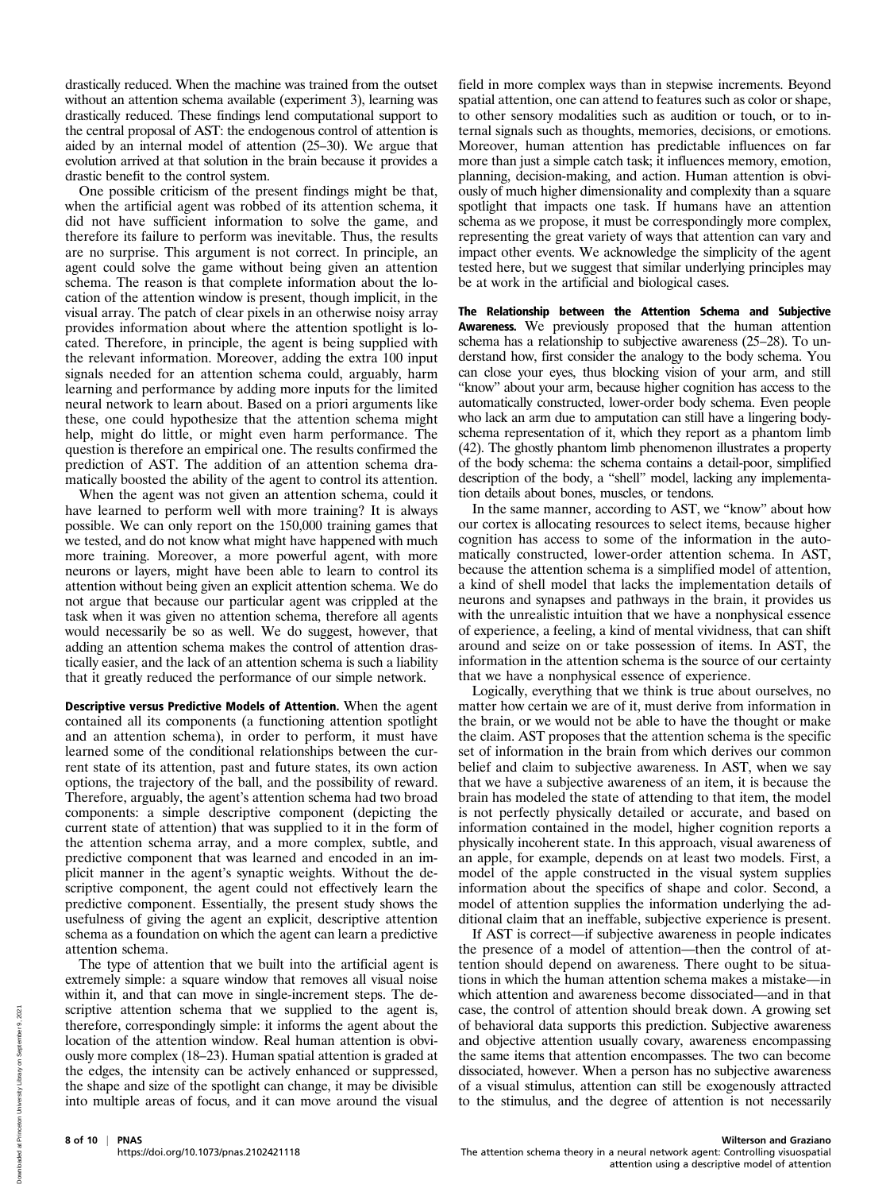drastically reduced. When the machine was trained from the outset without an attention schema available (experiment 3), learning was drastically reduced. These findings lend computational support to the central proposal of AST: the endogenous control of attention is aided by an internal model of attention (25–30). We argue that evolution arrived at that solution in the brain because it provides a drastic benefit to the control system.

One possible criticism of the present findings might be that, when the artificial agent was robbed of its attention schema, it did not have sufficient information to solve the game, and therefore its failure to perform was inevitable. Thus, the results are no surprise. This argument is not correct. In principle, an agent could solve the game without being given an attention schema. The reason is that complete information about the location of the attention window is present, though implicit, in the visual array. The patch of clear pixels in an otherwise noisy array provides information about where the attention spotlight is located. Therefore, in principle, the agent is being supplied with the relevant information. Moreover, adding the extra 100 input signals needed for an attention schema could, arguably, harm learning and performance by adding more inputs for the limited neural network to learn about. Based on a priori arguments like these, one could hypothesize that the attention schema might help, might do little, or might even harm performance. The question is therefore an empirical one. The results confirmed the prediction of AST. The addition of an attention schema dramatically boosted the ability of the agent to control its attention.

When the agent was not given an attention schema, could it have learned to perform well with more training? It is always possible. We can only report on the 150,000 training games that we tested, and do not know what might have happened with much more training. Moreover, a more powerful agent, with more neurons or layers, might have been able to learn to control its attention without being given an explicit attention schema. We do not argue that because our particular agent was crippled at the task when it was given no attention schema, therefore all agents would necessarily be so as well. We do suggest, however, that adding an attention schema makes the control of attention drastically easier, and the lack of an attention schema is such a liability that it greatly reduced the performance of our simple network.

Descriptive versus Predictive Models of Attention. When the agent contained all its components (a functioning attention spotlight and an attention schema), in order to perform, it must have learned some of the conditional relationships between the current state of its attention, past and future states, its own action options, the trajectory of the ball, and the possibility of reward. Therefore, arguably, the agent's attention schema had two broad components: a simple descriptive component (depicting the current state of attention) that was supplied to it in the form of the attention schema array, and a more complex, subtle, and predictive component that was learned and encoded in an implicit manner in the agent's synaptic weights. Without the descriptive component, the agent could not effectively learn the predictive component. Essentially, the present study shows the usefulness of giving the agent an explicit, descriptive attention schema as a foundation on which the agent can learn a predictive attention schema.

The type of attention that we built into the artificial agent is extremely simple: a square window that removes all visual noise within it, and that can move in single-increment steps. The descriptive attention schema that we supplied to the agent is, therefore, correspondingly simple: it informs the agent about the location of the attention window. Real human attention is obviously more complex (18–23). Human spatial attention is graded at the edges, the intensity can be actively enhanced or suppressed, the shape and size of the spotlight can change, it may be divisible into multiple areas of focus, and it can move around the visual

field in more complex ways than in stepwise increments. Beyond spatial attention, one can attend to features such as color or shape, to other sensory modalities such as audition or touch, or to internal signals such as thoughts, memories, decisions, or emotions. Moreover, human attention has predictable influences on far more than just a simple catch task; it influences memory, emotion, planning, decision-making, and action. Human attention is obviously of much higher dimensionality and complexity than a square spotlight that impacts one task. If humans have an attention schema as we propose, it must be correspondingly more complex, representing the great variety of ways that attention can vary and impact other events. We acknowledge the simplicity of the agent tested here, but we suggest that similar underlying principles may be at work in the artificial and biological cases.

The Relationship between the Attention Schema and Subjective Awareness. We previously proposed that the human attention schema has a relationship to subjective awareness (25–28). To understand how, first consider the analogy to the body schema. You can close your eyes, thus blocking vision of your arm, and still "know" about your arm, because higher cognition has access to the automatically constructed, lower-order body schema. Even people who lack an arm due to amputation can still have a lingering bodyschema representation of it, which they report as a phantom limb (42). The ghostly phantom limb phenomenon illustrates a property of the body schema: the schema contains a detail-poor, simplified description of the body, a "shell" model, lacking any implementation details about bones, muscles, or tendons.

In the same manner, according to AST, we "know" about how our cortex is allocating resources to select items, because higher cognition has access to some of the information in the automatically constructed, lower-order attention schema. In AST, because the attention schema is a simplified model of attention, a kind of shell model that lacks the implementation details of neurons and synapses and pathways in the brain, it provides us with the unrealistic intuition that we have a nonphysical essence of experience, a feeling, a kind of mental vividness, that can shift around and seize on or take possession of items. In AST, the information in the attention schema is the source of our certainty that we have a nonphysical essence of experience.

Logically, everything that we think is true about ourselves, no matter how certain we are of it, must derive from information in the brain, or we would not be able to have the thought or make the claim. AST proposes that the attention schema is the specific set of information in the brain from which derives our common belief and claim to subjective awareness. In AST, when we say that we have a subjective awareness of an item, it is because the brain has modeled the state of attending to that item, the model is not perfectly physically detailed or accurate, and based on information contained in the model, higher cognition reports a physically incoherent state. In this approach, visual awareness of an apple, for example, depends on at least two models. First, a model of the apple constructed in the visual system supplies information about the specifics of shape and color. Second, a model of attention supplies the information underlying the additional claim that an ineffable, subjective experience is present.

If AST is correct—if subjective awareness in people indicates the presence of a model of attention—then the control of attention should depend on awareness. There ought to be situations in which the human attention schema makes a mistake—in which attention and awareness become dissociated—and in that case, the control of attention should break down. A growing set of behavioral data supports this prediction. Subjective awareness and objective attention usually covary, awareness encompassing the same items that attention encompasses. The two can become dissociated, however. When a person has no subjective awareness of a visual stimulus, attention can still be exogenously attracted to the stimulus, and the degree of attention is not necessarily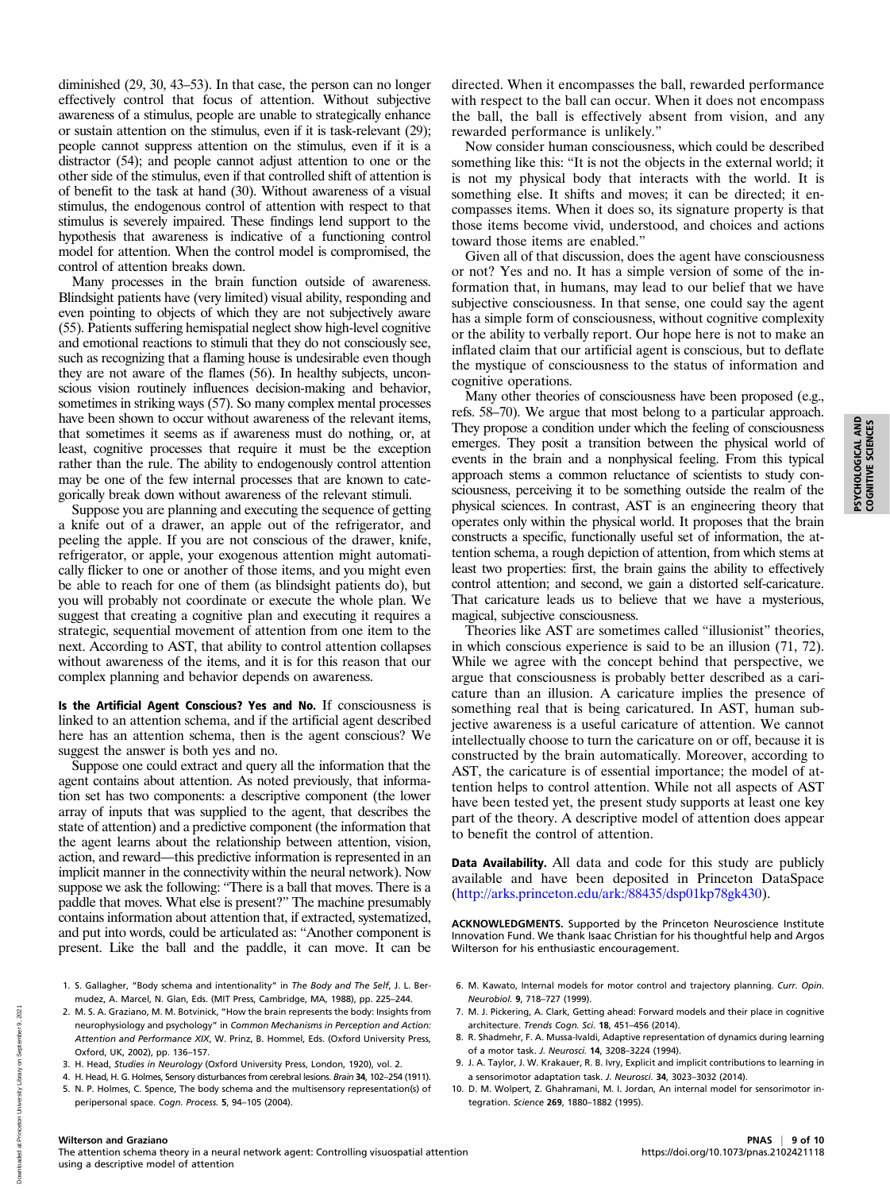diminished (29, 30, 43–53). In that case, the person can no longer effectively control that focus of attention. Without subjective awareness of a stimulus, people are unable to strategically enhance or sustain attention on the stimulus, even if it is task-relevant (29); people cannot suppress attention on the stimulus, even if it is a distractor (54); and people cannot adjust attention to one or the other side of the stimulus, even if that controlled shift of attention is of benefit to the task at hand (30). Without awareness of a visual stimulus, the endogenous control of attention with respect to that stimulus is severely impaired. These findings lend support to the hypothesis that awareness is indicative of a functioning control model for attention. When the control model is compromised, the control of attention breaks down.

Many processes in the brain function outside of awareness. Blindsight patients have (very limited) visual ability, responding and even pointing to objects of which they are not subjectively aware (55). Patients suffering hemispatial neglect show high-level cognitive and emotional reactions to stimuli that they do not consciously see, such as recognizing that a flaming house is undesirable even though they are not aware of the flames (56). In healthy subjects, unconscious vision routinely influences decision-making and behavior, sometimes in striking ways (57). So many complex mental processes have been shown to occur without awareness of the relevant items, that sometimes it seems as if awareness must do nothing, or, at least, cognitive processes that require it must be the exception rather than the rule. The ability to endogenously control attention may be one of the few internal processes that are known to categorically break down without awareness of the relevant stimuli.

Suppose you are planning and executing the sequence of getting a knife out of a drawer, an apple out of the refrigerator, and peeling the apple. If you are not conscious of the drawer, knife, refrigerator, or apple, your exogenous attention might automatically flicker to one or another of those items, and you might even be able to reach for one of them (as blindsight patients do), but you will probably not coordinate or execute the whole plan. We suggest that creating a cognitive plan and executing it requires a strategic, sequential movement of attention from one item to the next. According to AST, that ability to control attention collapses without awareness of the items, and it is for this reason that our complex planning and behavior depends on awareness.

Is the Artificial Agent Conscious? Yes and No. If consciousness is linked to an attention schema, and if the artificial agent described here has an attention schema, then is the agent conscious? We suggest the answer is both yes and no.

Suppose one could extract and query all the information that the agent contains about attention. As noted previously, that information set has two components: a descriptive component (the lower array of inputs that was supplied to the agent, that describes the state of attention) and a predictive component (the information that the agent learns about the relationship between attention, vision, action, and reward—this predictive information is represented in an implicit manner in the connectivity within the neural network). Now suppose we ask the following: "There is a ball that moves. There is a paddle that moves. What else is present?" The machine presumably contains information about attention that, if extracted, systematized, and put into words, could be articulated as: "Another component is present. Like the ball and the paddle, it can move. It can be

- 1. S. Gallagher, "Body schema and intentionality" in The Body and The Self, J. L. Bermudez, A. Marcel, N. Glan, Eds. (MIT Press, Cambridge, MA, 1988), pp. 225–244.
- 2. M. S. A. Graziano, M. M. Botvinick, "How the brain represents the body: Insights from neurophysiology and psychology" in Common Mechanisms in Perception and Action: Attention and Performance XIX, W. Prinz, B. Hommel, Eds. (Oxford University Press, Oxford, UK, 2002), pp. 136–157.
- 3. H. Head, Studies in Neurology (Oxford University Press, London, 1920), vol. 2.
- 4. H. Head, H. G. Holmes, Sensory disturbances from cerebral lesions. Brain 34, 102–254 (1911).
- 5. N. P. Holmes, C. Spence, The body schema and the multisensory representation(s) of peripersonal space. Cogn. Process. 5, 94–105 (2004).

directed. When it encompasses the ball, rewarded performance with respect to the ball can occur. When it does not encompass the ball, the ball is effectively absent from vision, and any rewarded performance is unlikely."

Now consider human consciousness, which could be described something like this: "It is not the objects in the external world; it is not my physical body that interacts with the world. It is something else. It shifts and moves; it can be directed; it encompasses items. When it does so, its signature property is that those items become vivid, understood, and choices and actions toward those items are enabled."

Given all of that discussion, does the agent have consciousness or not? Yes and no. It has a simple version of some of the information that, in humans, may lead to our belief that we have subjective consciousness. In that sense, one could say the agent has a simple form of consciousness, without cognitive complexity or the ability to verbally report. Our hope here is not to make an inflated claim that our artificial agent is conscious, but to deflate the mystique of consciousness to the status of information and cognitive operations.

Many other theories of consciousness have been proposed (e.g., refs. 58–70). We argue that most belong to a particular approach. They propose a condition under which the feeling of consciousness emerges. They posit a transition between the physical world of events in the brain and a nonphysical feeling. From this typical approach stems a common reluctance of scientists to study consciousness, perceiving it to be something outside the realm of the physical sciences. In contrast, AST is an engineering theory that operates only within the physical world. It proposes that the brain constructs a specific, functionally useful set of information, the attention schema, a rough depiction of attention, from which stems at least two properties: first, the brain gains the ability to effectively control attention; and second, we gain a distorted self-caricature. That caricature leads us to believe that we have a mysterious, magical, subjective consciousness.

Theories like AST are sometimes called "illusionist" theories, in which conscious experience is said to be an illusion (71, 72). While we agree with the concept behind that perspective, we argue that consciousness is probably better described as a caricature than an illusion. A caricature implies the presence of something real that is being caricatured. In AST, human subjective awareness is a useful caricature of attention. We cannot intellectually choose to turn the caricature on or off, because it is constructed by the brain automatically. Moreover, according to AST, the caricature is of essential importance; the model of attention helps to control attention. While not all aspects of AST have been tested yet, the present study supports at least one key part of the theory. A descriptive model of attention does appear to benefit the control of attention.

Data Availability. All data and code for this study are publicly available and have been deposited in Princeton DataSpace [\(http://arks.princeton.edu/ark:/88435/dsp01kp78gk430\)](http://arks.princeton.edu/ark:/88435/dsp01kp78gk430).

ACKNOWLEDGMENTS. Supported by the Princeton Neuroscience Institute Innovation Fund. We thank Isaac Christian for his thoughtful help and Argos Wilterson for his enthusiastic encouragement.

- 6. M. Kawato, Internal models for motor control and trajectory planning. Curr. Opin. Neurobiol. 9, 718–727 (1999).
- 7. M. J. Pickering, A. Clark, Getting ahead: Forward models and their place in cognitive architecture. Trends Cogn. Sci. 18, 451–456 (2014).
- 8. R. Shadmehr, F. A. Mussa-Ivaldi, Adaptive representation of dynamics during learning of a motor task. J. Neurosci. 14, 3208–3224 (1994).
- 9. J. A. Taylor, J. W. Krakauer, R. B. Ivry, Explicit and implicit contributions to learning in a sensorimotor adaptation task. J. Neurosci. 34, 3023–3032 (2014).
- 10. D. M. Wolpert, Z. Ghahramani, M. I. Jordan, An internal model for sensorimotor integration. Science 269, 1880–1882 (1995).

Downloaded at Princeton University Library on September 9, 2021

Downloaded at Princeton University Library on September 9, 202